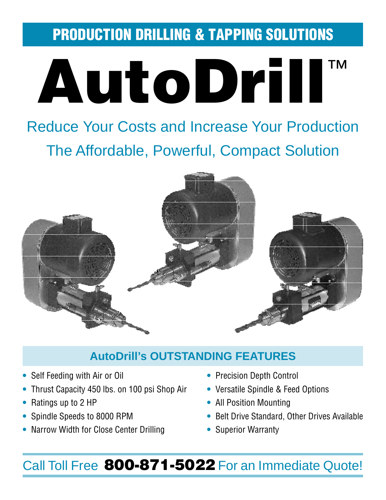PRODUCTION DRILLING & TAPPING SOLUTIONS



# Reduce Your Costs and Increase Your Production The Affordable, Powerful, Compact Solution



### **AutoDrill's OUTSTANDING FEATURES**

- **•** Self Feeding with Air or Oil **•** Precision Depth Control
- **•** Thrust Capacity 450 lbs. on 100 psi Shop Air **•** Versatile Spindle & Feed Options
- 
- 
- **•** Narrow Width for Close Center Drilling **•** Superior Warranty
- 
- 
- **•** Ratings up to 2 HP **•** All Position Mounting
- **•** Spindle Speeds to 8000 RPM **•** Belt Drive Standard, Other Drives Available
	-

## Call Toll Free 800-871-5022 For an Immediate Quote!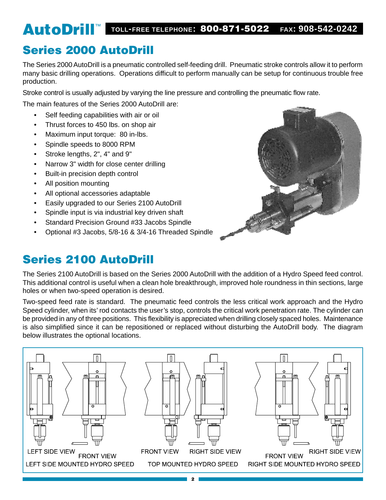## AutoDrill™ **TOLL-FREE TELEPHONE:** 800-871-5022 **FAX: 908-542-0242**

### Series 2000 AutoDrill

The Series 2000 AutoDrill is a pneumatic controlled self-feeding drill. Pneumatic stroke controls allow it to perform many basic drilling operations. Operations difficult to perform manually can be setup for continuous trouble free production.

Stroke control is usually adjusted by varying the line pressure and controlling the pneumatic flow rate.

The main features of the Series 2000 AutoDrill are:

- Self feeding capabilities with air or oil
- Thrust forces to 450 lbs. on shop air
- Maximum input torque: 80 in-lbs.
- Spindle speeds to 8000 RPM
- Stroke lengths, 2", 4" and 9"
- Narrow 3" width for close center drilling
- Built-in precision depth control
- All position mounting
- All optional accessories adaptable
- Easily upgraded to our Series 2100 AutoDrill
- Spindle input is via industrial key driven shaft
- Standard Precision Ground #33 Jacobs Spindle
- Optional #3 Jacobs, 5/8-16 & 3/4-16 Threaded Spindle

### Series 2100 AutoDrill



The Series 2100 AutoDrill is based on the Series 2000 AutoDrill with the addition of a Hydro Speed feed control. This additional control is useful when a clean hole breakthrough, improved hole roundness in thin sections, large holes or when two-speed operation is desired.

Two-speed feed rate is standard. The pneumatic feed controls the less critical work approach and the Hydro Speed cylinder, when its' rod contacts the user's stop, controls the critical work penetration rate. The cylinder can be provided in any of three positions. This flexibility is appreciated when drilling closely spaced holes. Maintenance is also simplified since it can be repositioned or replaced without disturbing the AutoDrill body. The diagram below illustrates the optional locations.

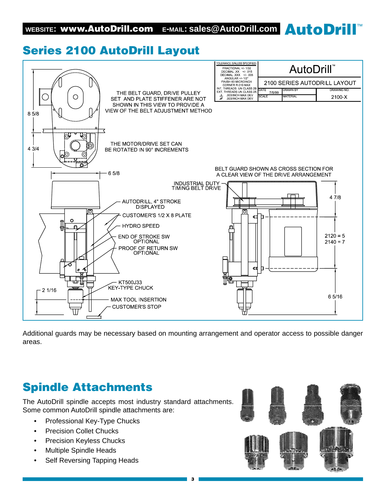### Series 2100 AutoDrill Layout



Additional guards may be necessary based on mounting arrangement and operator access to possible danger areas.

### Spindle Attachments

The AutoDrill spindle accepts most industry standard attachments. Some common AutoDrill spindle attachments are:

- Professional Key-Type Chucks
- Precision Collet Chucks
- Precision Keyless Chucks
- Multiple Spindle Heads
- Self Reversing Tapping Heads

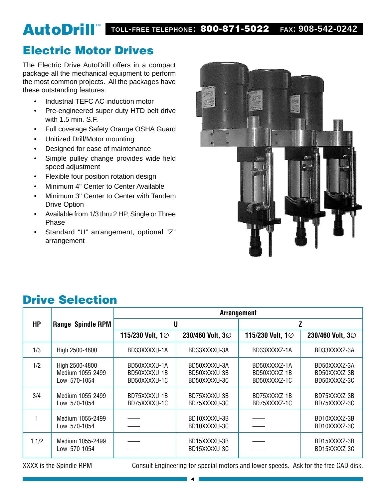## AutoDrill™ **TOLL-FREE TELEPHONE:** 800-871-5022 **FAX: 908-542-0242**

### Electric Motor Drives

The Electric Drive AutoDrill offers in a compact package all the mechanical equipment to perform the most common projects. All the packages have these outstanding features:

- Industrial TEFC AC induction motor
- Pre-engineered super duty HTD belt drive with 1.5 min. S.F.
- Full coverage Safety Orange OSHA Guard
- Unitized Drill/Motor mounting
- Designed for ease of maintenance
- Simple pulley change provides wide field speed adjustment
- Flexible four position rotation design
- Minimum 4" Center to Center Available
- Minimum 3" Center to Center with Tandem Drive Option
- Available from 1/3 thru 2 HP, Single or Three Phase
- Standard "U" arrangement, optional "Z" arrangement



### Drive Selection

|           |                                                    | <b>Arrangement</b>                           |                                              |                                              |                                              |  |  |  |  |  |
|-----------|----------------------------------------------------|----------------------------------------------|----------------------------------------------|----------------------------------------------|----------------------------------------------|--|--|--|--|--|
| <b>HP</b> | Range Spindle RPM                                  |                                              | U                                            | Z                                            |                                              |  |  |  |  |  |
|           |                                                    | 115/230 Volt, 1Ø                             | 230/460 Volt, 3Ø                             | 115/230 Volt, 1Ø                             | 230/460 Volt, 3Ø                             |  |  |  |  |  |
| 1/3       | High 2500-4800                                     | BD33XXXXU-1A                                 | BD33XXXXU-3A                                 | BD33XXXXZ-1A                                 | BD33XXXXZ-3A                                 |  |  |  |  |  |
| 1/2       | High 2500-4800<br>Medium 1055-2499<br>Low 570-1054 | BD50XXXXU-1A<br>BD50XXXXU-1B<br>BD50XXXXU-1C | BD50XXXXU-3A<br>BD50XXXXU-3B<br>BD50XXXXU-3C | BD50XXXXZ-1A<br>BD50XXXX7-1B<br>BD50XXXXZ-1C | BD50XXXXZ-3A<br>BD50XXXXZ-3B<br>BD50XXXXZ-3C |  |  |  |  |  |
| 3/4       | Medium 1055-2499<br>Low 570-1054                   | BD75XXXXU-1B<br>BD75XXXXU-1C                 | BD75XXXXU-3B<br>BD75XXXXU-3C                 | BD75XXXXZ-1B<br>BD75XXXXZ-1C                 | BD75XXXXZ-3B<br>BD75XXXXZ-3C                 |  |  |  |  |  |
|           | Medium 1055-2499<br>Low 570-1054                   |                                              | BD10XXXXU-3B<br>BD10XXXXU-3C                 |                                              | BD10XXXXZ-3B<br>BD10XXXXZ-3C                 |  |  |  |  |  |
| 11/2      | Medium 1055-2499<br>Low 570-1054                   |                                              | BD15XXXXU-3B<br>BD15XXXXU-3C                 |                                              | BD15XXXXZ-3B<br>BD15XXXXZ-3C                 |  |  |  |  |  |

XXXX is the Spindle RPM Consult Engineering for special motors and lower speeds. Ask for the free CAD disk.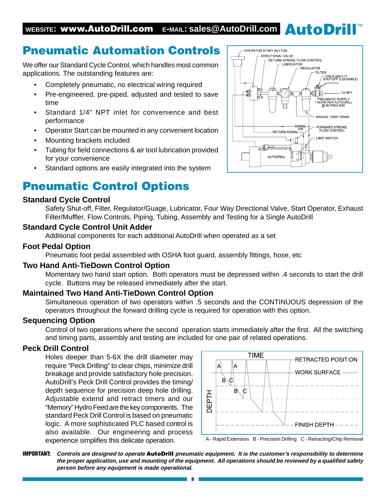### Pneumatic Automation Controls

We offer our Standard Cycle Control, which handles most common applications. The outstanding features are:

- Completely pneumatic, no electrical wiring required
- Pre-engineered, pre-piped, adjusted and tested to save time
- Standard 1/4" NPT inlet for convenience and best performance
- Operator Start can be mounted in any convenient location
- Mounting brackets included
- Tubing for field connections & air tool lubrication provided for your convenience
- Standard options are easily integrated into the system

### Pneumatic Control Options

#### **Standard Cycle Control**

Safety Shut-off, Filter, Regulator/Guage, Lubricator, Four Way Directional Valve, Start Operator, Exhaust Filter/Muffler, Flow Controls, Piping, Tubing, Assembly and Testing for a Single AutoDrill

#### **Standard Cycle Control Unit Adder**

Additional components for each additional AutoDrill when operated as a set

#### **Foot Pedal Option**

Pneumatic foot pedal assembled with OSHA foot guard, assembly fittings, hose, etc

#### **Two Hand Anti-TieDown Control Option**

Momentary two hand start option. Both operators must be depressed within .4 seconds to start the drill cycle. Buttons may be released immediately after the start.

#### **Maintained Two Hand Anti-TieDown Control Option**

Simultaneous operation of two operators within .5 seconds and the CONTINUOUS depression of the operators throughout the forward drilling cycle is required for operation with this option.

#### **Sequencing Option**

Control of two operations where the second operation starts immediately after the first. All the switching and timing parts, assembly and testing are included for one pair of related operations.

#### **Peck Drill Control**

Holes deeper than 5-6X the drill diameter may require "Peck Drilling" to clear chips, minimize drill breakage and provide satisfactory hole precision. AutoDrill's Peck Drill Control provides the timing/ depth sequence for precision deep hole drilling. Adjustable extend and retract timers and our "Memory" Hydro Feed are the key components. The standard Peck Drill Control is based on pneumatic logic. A more sophisticated PLC based control is also available. Our engineering and process experience simplifies this delicate operation.





IMPORTANT: **Controls are designed to operate** AutoDrill **pneumatic equipment. It is the customer's responsibility to determine the proper application, use and mounting of the equipment. All operations should be reviewed by a qualified safety person before any equipment is made operational.**

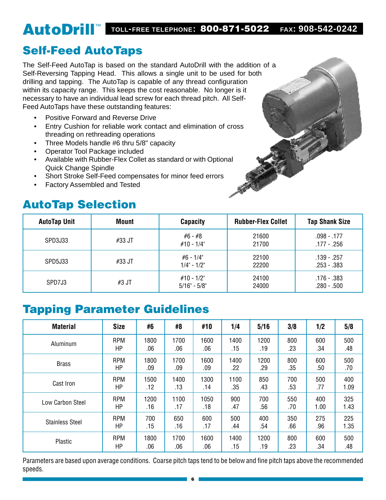### AutoDrill™ **TOLL-FREE TELEPHONE:** 800-871-5022 **FAX: 908-542-0242**

### Self-Feed AutoTaps

The Self-Feed AutoTap is based on the standard AutoDrill with the addition of a Self-Reversing Tapping Head. This allows a single unit to be used for both drilling and tapping. The AutoTap is capable of any thread configuration within its capacity range. This keeps the cost reasonable. No longer is it necessary to have an individual lead screw for each thread pitch. All Self-Feed AutoTaps have these outstanding features:

- Positive Forward and Reverse Drive
- Entry Cushion for reliable work contact and elimination of cross threading on rethreading operations
- Three Models handle #6 thru 5/8" capacity
- Operator Tool Package included
- Available with Rubber-Flex Collet as standard or with Optional Quick Change Spindle
- Short Stroke Self-Feed compensates for minor feed errors
- Factory Assembled and Tested

### AutoTap Selection



| <b>AutoTap Unit</b> | <b>Mount</b> | <b>Capacity</b>                  | <b>Rubber-Flex Collet</b> | <b>Tap Shank Size</b>          |
|---------------------|--------------|----------------------------------|---------------------------|--------------------------------|
| SPD3J33             | #33 JT       | #6 - #8<br>$#10 - 1/4"$          | 21600<br>21700            | $.098 - .177$<br>$.177 - .256$ |
| SPD5J33             | #33 JT       | #6 - 1/4"<br>$1/4$ " - $1/2$ "   | 22100<br>22200            | $.139 - .257$<br>$.253 - .383$ |
| SPD7J3              | #3 JT        | #10 - 1/2"<br>$5/16$ " - $5/8$ " | 24100<br>24000            | .176 - .383<br>$.280 - .500$   |

### Tapping Parameter Guidelines

| <b>Material</b>        | <b>Size</b> | #6   | #8   | #10  | 1/4  | 5/16 | 3/8 | 1/2  | 5/8  |
|------------------------|-------------|------|------|------|------|------|-----|------|------|
| Aluminum               | <b>RPM</b>  | 1800 | 1700 | 1600 | 1400 | 1200 | 800 | 600  | 500  |
|                        | HP          | .06  | .06  | .06  | .15  | .19  | .23 | .34  | .48  |
| <b>Brass</b>           | <b>RPM</b>  | 1800 | 1700 | 1600 | 1400 | 1200 | 800 | 600  | 500  |
|                        | HP          | .09  | .09  | .09  | .22  | .29  | .35 | .50  | .70  |
| Cast Iron              | <b>RPM</b>  | 1500 | 1400 | 1300 | 1100 | 850  | 700 | 500  | 400  |
|                        | HP          | .12  | .13  | .14  | .35  | .43  | .53 | .77  | 1.09 |
| Low Carbon Steel       | <b>RPM</b>  | 1200 | 1100 | 1050 | 900  | 700  | 550 | 400  | 325  |
|                        | HP          | .16  | .17  | .18  | .47  | .56  | .70 | 1.00 | 1.43 |
| <b>Stainless Steel</b> | <b>RPM</b>  | 700  | 650  | 600  | 500  | 400  | 350 | 275  | 225  |
|                        | HP          | .15  | .16  | .17  | .44  | .54  | .66 | .96  | 1.35 |
| Plastic                | <b>RPM</b>  | 1800 | 1700 | 1600 | 1400 | 1200 | 800 | 600  | 500  |
|                        | HP          | .06  | .06  | .06  | .15  | .19  | .23 | .34  | .48  |

Parameters are based upon average conditions. Coarse pitch taps tend to be below and fine pitch taps above the recommended speeds.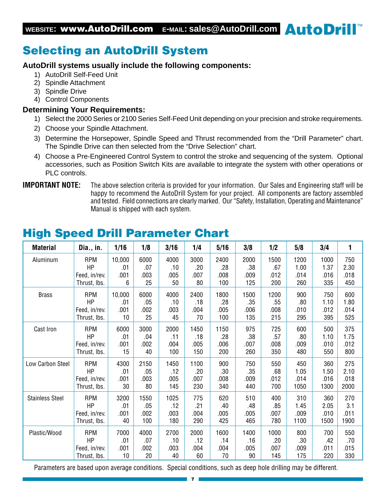### Selecting an AutoDrill System

#### **AutoDrill systems usually include the following components:**

- 1) AutoDrill Self-Feed Unit
- 2) Spindle Attachment
- 3) Spindle Drive
- 4) Control Components

#### **Determining Your Requirements:**

- 1) Select the 2000 Series or 2100 Series Self-Feed Unit depending on your precision and stroke requirements.
- 2) Choose your Spindle Attachment.
- 3) Determine the Horsepower, Spindle Speed and Thrust recommended from the "Drill Parameter" chart. The Spindle Drive can then selected from the "Drive Selection" chart.
- 4) Choose a Pre-Engineered Control System to control the stroke and sequencing of the system. Optional accessories, such as Position Switch Kits are available to integrate the system with other operations or PLC controls.

#### **IMPORTANT NOTE:** The above selection criteria is provided for your information. Our Sales and Engineering staff will be happy to recommend the AutoDrill System for your project. All components are factory assembled and tested. Field connections are clearly marked. Our "Safety, Installation, Operating and Maintenance" Manual is shipped with each system.

| <b>Material</b>        | Dia., in.     | 1/16   | 1/8  | 3/16 | 1/4  | 5/16 | 3/8  | 1/2  | 5/8  | 3/4  | 1    |
|------------------------|---------------|--------|------|------|------|------|------|------|------|------|------|
| Aluminum               | <b>RPM</b>    | 10,000 | 6000 | 4000 | 3000 | 2400 | 2000 | 1500 | 1200 | 1000 | 750  |
|                        | HP            | .01    | .07  | .10  | .20  | .28  | .38  | .67  | 1.00 | 1.37 | 2.30 |
|                        | Feed, in/rev. | .001   | .003 | .005 | .007 | .008 | .009 | .012 | .014 | .016 | .018 |
|                        | Thrust, Ibs.  | 6      | 25   | 50   | 80   | 100  | 125  | 200  | 260  | 335  | 450  |
| <b>Brass</b>           | <b>RPM</b>    | 10,000 | 6000 | 4000 | 2400 | 1800 | 1500 | 1200 | 900  | 750  | 600  |
|                        | HP            | .01    | .05  | .10  | .18  | .28  | .35  | .55  | .80  | 1.10 | 1.80 |
|                        | Feed, in/rev. | .001   | .002 | .003 | .004 | .005 | .006 | .008 | .010 | .012 | .014 |
|                        | Thrust, lbs.  | 10     | 25   | 45   | 70   | 100  | 135  | 215  | 295  | 395  | 525  |
| Cast Iron              | <b>RPM</b>    | 6000   | 3000 | 2000 | 1450 | 1150 | 975  | 725  | 600  | 500  | 375  |
|                        | HP            | .01    | .04  | .11  | .18  | .28  | .38  | .57  | .80  | 1.10 | 1.75 |
|                        | Feed, in/rev. | .001   | .002 | .004 | .005 | .006 | .007 | .008 | .009 | .010 | .012 |
|                        | Thrust, Ibs.  | 15     | 40   | 100  | 150  | 200  | 260  | 350  | 480  | 550  | 800  |
| Low Carbon Steel       | <b>RPM</b>    | 4300   | 2150 | 1450 | 1100 | 900  | 750  | 550  | 450  | 360  | 275  |
|                        | HP            | .01    | .05  | .12  | .20  | .30  | .35  | .68  | 1.05 | 1.50 | 2.10 |
|                        | Feed, in/rev. | .001   | .003 | .005 | .007 | .008 | .009 | .012 | .014 | .016 | .018 |
|                        | Thrust, Ibs.  | 30     | 80   | 145  | 230  | 340  | 440  | 700  | 1050 | 1300 | 2000 |
| <b>Stainless Steel</b> | <b>RPM</b>    | 3200   | 1550 | 1025 | 775  | 620  | 510  | 400  | 310  | 360  | 270  |
|                        | HP            | .01    | .05  | .12  | .21  | .40  | .48  | .85  | 1.45 | 2.05 | 3.1  |
|                        | Feed, in/rev. | .001   | .002 | .003 | .004 | .005 | .005 | .007 | .009 | .010 | .011 |
|                        | Thrust, Ibs.  | 40     | 100  | 180  | 290  | 425  | 465  | 780  | 1100 | 1500 | 1900 |
| Plastic/Wood           | <b>RPM</b>    | 7000   | 4000 | 2700 | 2000 | 1600 | 1400 | 1000 | 800  | 700  | 550  |
|                        | HP            | .01    | .07  | .10  | .12  | .14  | .16  | .20  | .30  | .42  | .70  |
|                        | Feed, in/rev. | .001   | .002 | .003 | .004 | .004 | .005 | .007 | .009 | .011 | .015 |
|                        | Thrust, Ibs.  | 10     | 20   | 40   | 60   | 70   | 90   | 145  | 175  | 220  | 330  |

### High Speed Drill Parameter Chart

Parameters are based upon average conditions. Special conditions, such as deep hole drilling may be different.